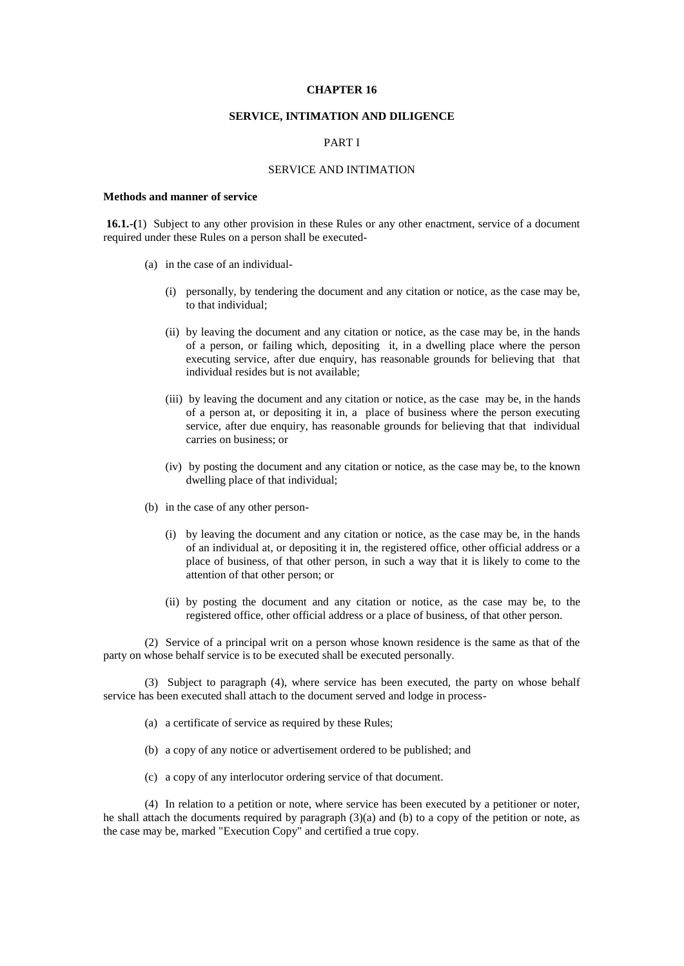#### **CHAPTER 16**

### **SERVICE, INTIMATION AND DILIGENCE**

# PART I

# SERVICE AND INTIMATION

### **Methods and manner of service**

**16.1.-(**1) Subject to any other provision in these Rules or any other enactment, service of a document required under these Rules on a person shall be executed-

- (a) in the case of an individual-
	- (i) personally, by tendering the document and any citation or notice, as the case may be, to that individual;
	- (ii) by leaving the document and any citation or notice, as the case may be, in the hands of a person, or failing which, depositing it, in a dwelling place where the person executing service, after due enquiry, has reasonable grounds for believing that that individual resides but is not available;
	- (iii) by leaving the document and any citation or notice, as the case may be, in the hands of a person at, or depositing it in, a place of business where the person executing service, after due enquiry, has reasonable grounds for believing that that individual carries on business; or
	- (iv) by posting the document and any citation or notice, as the case may be, to the known dwelling place of that individual;
- (b) in the case of any other person-
	- (i) by leaving the document and any citation or notice, as the case may be, in the hands of an individual at, or depositing it in, the registered office, other official address or a place of business, of that other person, in such a way that it is likely to come to the attention of that other person; or
	- (ii) by posting the document and any citation or notice, as the case may be, to the registered office, other official address or a place of business, of that other person.

(2) Service of a principal writ on a person whose known residence is the same as that of the party on whose behalf service is to be executed shall be executed personally.

(3) Subject to paragraph (4), where service has been executed, the party on whose behalf service has been executed shall attach to the document served and lodge in process-

- (a) a certificate of service as required by these Rules;
- (b) a copy of any notice or advertisement ordered to be published; and
- (c) a copy of any interlocutor ordering service of that document.

(4) In relation to a petition or note, where service has been executed by a petitioner or noter, he shall attach the documents required by paragraph (3)(a) and (b) to a copy of the petition or note, as the case may be, marked "Execution Copy" and certified a true copy.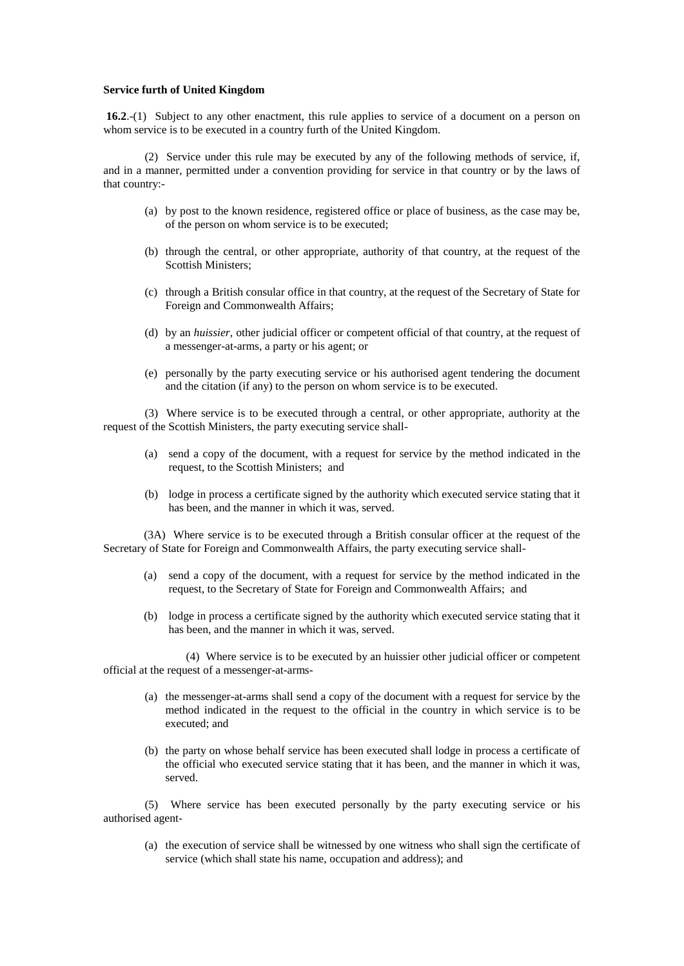#### **Service furth of United Kingdom**

**16.2**.-(1) Subject to any other enactment, this rule applies to service of a document on a person on whom service is to be executed in a country furth of the United Kingdom.

(2) Service under this rule may be executed by any of the following methods of service, if, and in a manner, permitted under a convention providing for service in that country or by the laws of that country:-

- (a) by post to the known residence, registered office or place of business, as the case may be, of the person on whom service is to be executed;
- (b) through the central, or other appropriate, authority of that country, at the request of the Scottish Ministers:
- (c) through a British consular office in that country, at the request of the Secretary of State for Foreign and Commonwealth Affairs;
- (d) by an *huissier*, other judicial officer or competent official of that country, at the request of a messenger-at-arms, a party or his agent; or
- (e) personally by the party executing service or his authorised agent tendering the document and the citation (if any) to the person on whom service is to be executed.

(3) Where service is to be executed through a central, or other appropriate, authority at the request of the Scottish Ministers, the party executing service shall-

- (a) send a copy of the document, with a request for service by the method indicated in the request, to the Scottish Ministers; and
- (b) lodge in process a certificate signed by the authority which executed service stating that it has been, and the manner in which it was, served.

(3A) Where service is to be executed through a British consular officer at the request of the Secretary of State for Foreign and Commonwealth Affairs, the party executing service shall-

- (a) send a copy of the document, with a request for service by the method indicated in the request, to the Secretary of State for Foreign and Commonwealth Affairs; and
- (b) lodge in process a certificate signed by the authority which executed service stating that it has been, and the manner in which it was, served.

(4) Where service is to be executed by an huissier other judicial officer or competent official at the request of a messenger-at-arms-

- (a) the messenger-at-arms shall send a copy of the document with a request for service by the method indicated in the request to the official in the country in which service is to be executed; and
- (b) the party on whose behalf service has been executed shall lodge in process a certificate of the official who executed service stating that it has been, and the manner in which it was, served.

(5) Where service has been executed personally by the party executing service or his authorised agent-

(a) the execution of service shall be witnessed by one witness who shall sign the certificate of service (which shall state his name, occupation and address); and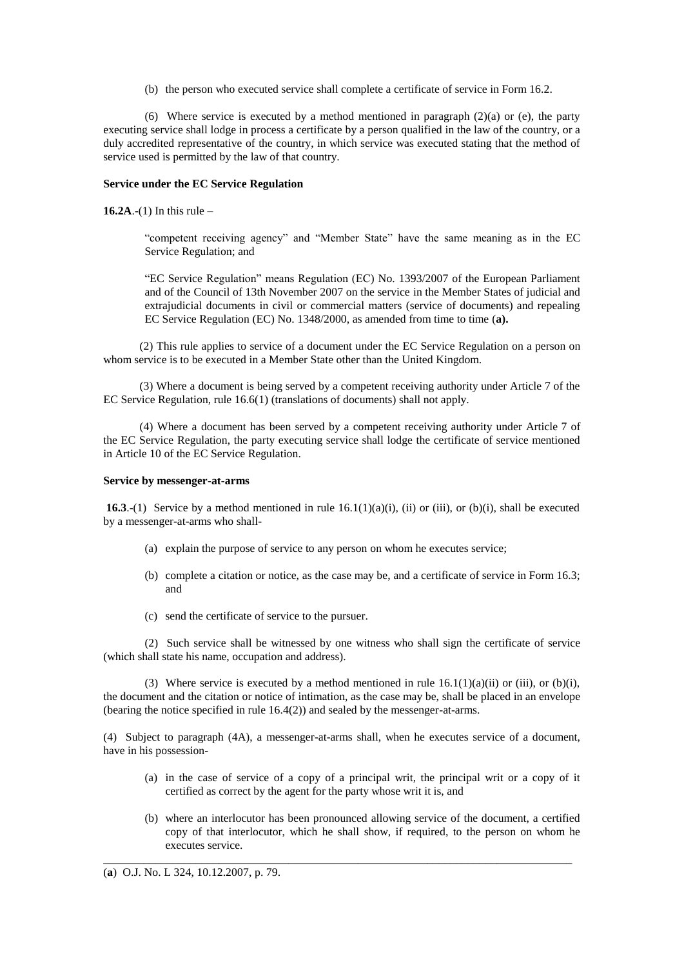(b) the person who executed service shall complete a certificate of service in Form 16.2.

(6) Where service is executed by a method mentioned in paragraph  $(2)(a)$  or (e), the party executing service shall lodge in process a certificate by a person qualified in the law of the country, or a duly accredited representative of the country, in which service was executed stating that the method of service used is permitted by the law of that country.

# **Service under the EC Service Regulation**

**16.2A.**-(1) In this rule –

"competent receiving agency" and "Member State" have the same meaning as in the EC Service Regulation; and

"EC Service Regulation" means Regulation (EC) No. 1393/2007 of the European Parliament and of the Council of 13th November 2007 on the service in the Member States of judicial and extrajudicial documents in civil or commercial matters (service of documents) and repealing EC Service Regulation (EC) No. 1348/2000, as amended from time to time (**a).**

(2) This rule applies to service of a document under the EC Service Regulation on a person on whom service is to be executed in a Member State other than the United Kingdom.

(3) Where a document is being served by a competent receiving authority under Article 7 of the EC Service Regulation, rule 16.6(1) (translations of documents) shall not apply.

(4) Where a document has been served by a competent receiving authority under Article 7 of the EC Service Regulation, the party executing service shall lodge the certificate of service mentioned in Article 10 of the EC Service Regulation.

### **Service by messenger-at-arms**

**16.3**.-(1) Service by a method mentioned in rule  $16.1(1)(a)(i)$ , (ii) or (iii), or (b)(i), shall be executed by a messenger-at-arms who shall-

- (a) explain the purpose of service to any person on whom he executes service;
- (b) complete a citation or notice, as the case may be, and a certificate of service in Form 16.3; and
- (c) send the certificate of service to the pursuer.

(2) Such service shall be witnessed by one witness who shall sign the certificate of service (which shall state his name, occupation and address).

(3) Where service is executed by a method mentioned in rule  $16.1(1)(a)(ii)$  or (iii), or (b)(i), the document and the citation or notice of intimation, as the case may be, shall be placed in an envelope (bearing the notice specified in rule 16.4(2)) and sealed by the messenger-at-arms.

(4) Subject to paragraph (4A), a messenger-at-arms shall, when he executes service of a document, have in his possession-

\_\_\_\_\_\_\_\_\_\_\_\_\_\_\_\_\_\_\_\_\_\_\_\_\_\_\_\_\_\_\_\_\_\_\_\_\_\_\_\_\_\_\_\_\_\_\_\_\_\_\_\_\_\_\_\_\_\_\_\_\_\_\_\_\_\_\_\_\_\_\_\_\_\_\_\_\_\_\_\_\_

- (a) in the case of service of a copy of a principal writ, the principal writ or a copy of it certified as correct by the agent for the party whose writ it is, and
- (b) where an interlocutor has been pronounced allowing service of the document, a certified copy of that interlocutor, which he shall show, if required, to the person on whom he executes service.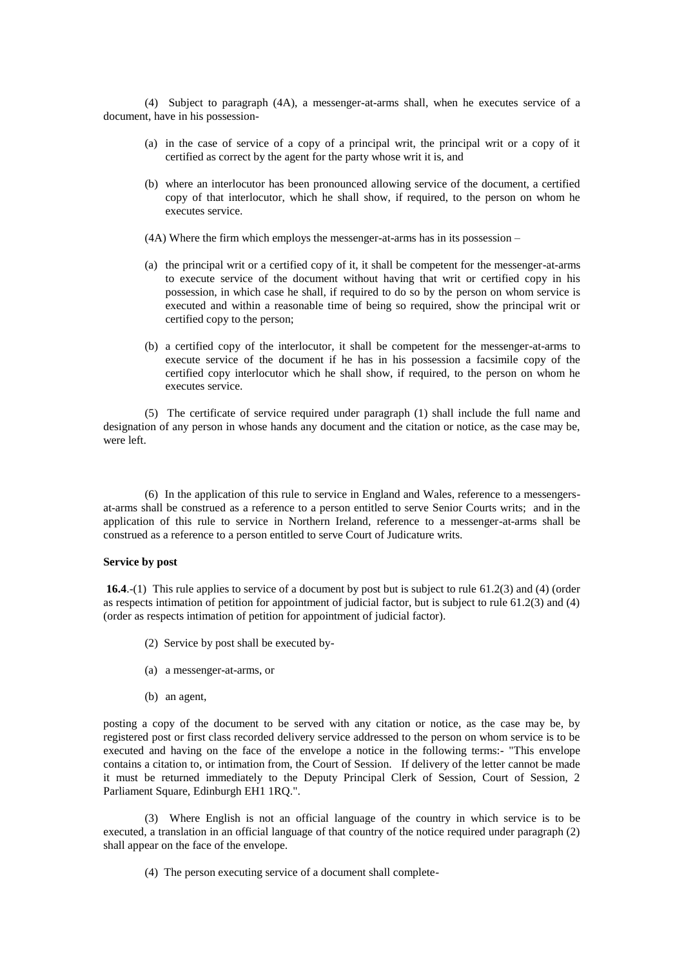(4) Subject to paragraph (4A), a messenger-at-arms shall, when he executes service of a document, have in his possession-

- (a) in the case of service of a copy of a principal writ, the principal writ or a copy of it certified as correct by the agent for the party whose writ it is, and
- (b) where an interlocutor has been pronounced allowing service of the document, a certified copy of that interlocutor, which he shall show, if required, to the person on whom he executes service.
- (4A) Where the firm which employs the messenger-at-arms has in its possession –
- (a) the principal writ or a certified copy of it, it shall be competent for the messenger-at-arms to execute service of the document without having that writ or certified copy in his possession, in which case he shall, if required to do so by the person on whom service is executed and within a reasonable time of being so required, show the principal writ or certified copy to the person;
- (b) a certified copy of the interlocutor, it shall be competent for the messenger-at-arms to execute service of the document if he has in his possession a facsimile copy of the certified copy interlocutor which he shall show, if required, to the person on whom he executes service.

(5) The certificate of service required under paragraph (1) shall include the full name and designation of any person in whose hands any document and the citation or notice, as the case may be, were left.

(6) In the application of this rule to service in England and Wales, reference to a messengersat-arms shall be construed as a reference to a person entitled to serve Senior Courts writs; and in the application of this rule to service in Northern Ireland, reference to a messenger-at-arms shall be construed as a reference to a person entitled to serve Court of Judicature writs.

#### **Service by post**

**16.4**.-(1) This rule applies to service of a document by post but is subject to rule 61.2(3) and (4) (order as respects intimation of petition for appointment of judicial factor, but is subject to rule 61.2(3) and (4) (order as respects intimation of petition for appointment of judicial factor).

- (2) Service by post shall be executed by-
- (a) a messenger-at-arms, or
- (b) an agent,

posting a copy of the document to be served with any citation or notice, as the case may be, by registered post or first class recorded delivery service addressed to the person on whom service is to be executed and having on the face of the envelope a notice in the following terms:- "This envelope contains a citation to, or intimation from, the Court of Session. If delivery of the letter cannot be made it must be returned immediately to the Deputy Principal Clerk of Session, Court of Session, 2 Parliament Square, Edinburgh EH1 1RQ.".

(3) Where English is not an official language of the country in which service is to be executed, a translation in an official language of that country of the notice required under paragraph (2) shall appear on the face of the envelope.

(4) The person executing service of a document shall complete-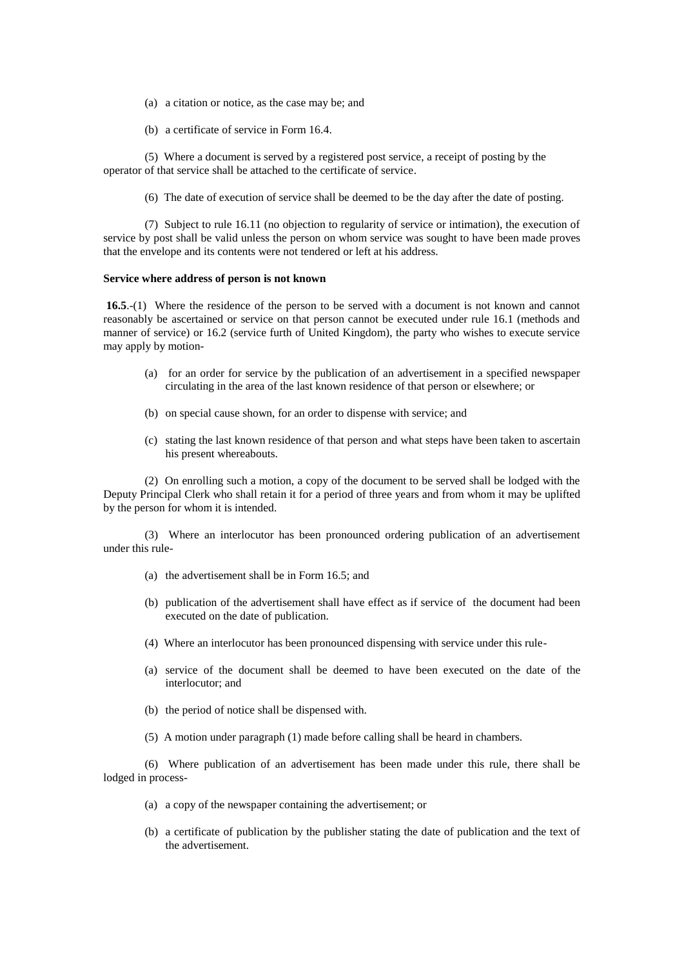- (a) a citation or notice, as the case may be; and
- (b) a certificate of service in Form 16.4.

(5) Where a document is served by a registered post service, a receipt of posting by the operator of that service shall be attached to the certificate of service.

(6) The date of execution of service shall be deemed to be the day after the date of posting.

(7) Subject to rule 16.11 (no objection to regularity of service or intimation), the execution of service by post shall be valid unless the person on whom service was sought to have been made proves that the envelope and its contents were not tendered or left at his address.

## **Service where address of person is not known**

**16.5**.-(1) Where the residence of the person to be served with a document is not known and cannot reasonably be ascertained or service on that person cannot be executed under rule 16.1 (methods and manner of service) or 16.2 (service furth of United Kingdom), the party who wishes to execute service may apply by motion-

- (a) for an order for service by the publication of an advertisement in a specified newspaper circulating in the area of the last known residence of that person or elsewhere; or
- (b) on special cause shown, for an order to dispense with service; and
- (c) stating the last known residence of that person and what steps have been taken to ascertain his present whereabouts.

(2) On enrolling such a motion, a copy of the document to be served shall be lodged with the Deputy Principal Clerk who shall retain it for a period of three years and from whom it may be uplifted by the person for whom it is intended.

(3) Where an interlocutor has been pronounced ordering publication of an advertisement under this rule-

- (a) the advertisement shall be in Form 16.5; and
- (b) publication of the advertisement shall have effect as if service of the document had been executed on the date of publication.
- (4) Where an interlocutor has been pronounced dispensing with service under this rule-
- (a) service of the document shall be deemed to have been executed on the date of the interlocutor; and
- (b) the period of notice shall be dispensed with.
- (5) A motion under paragraph (1) made before calling shall be heard in chambers.

(6) Where publication of an advertisement has been made under this rule, there shall be lodged in process-

- (a) a copy of the newspaper containing the advertisement; or
- (b) a certificate of publication by the publisher stating the date of publication and the text of the advertisement.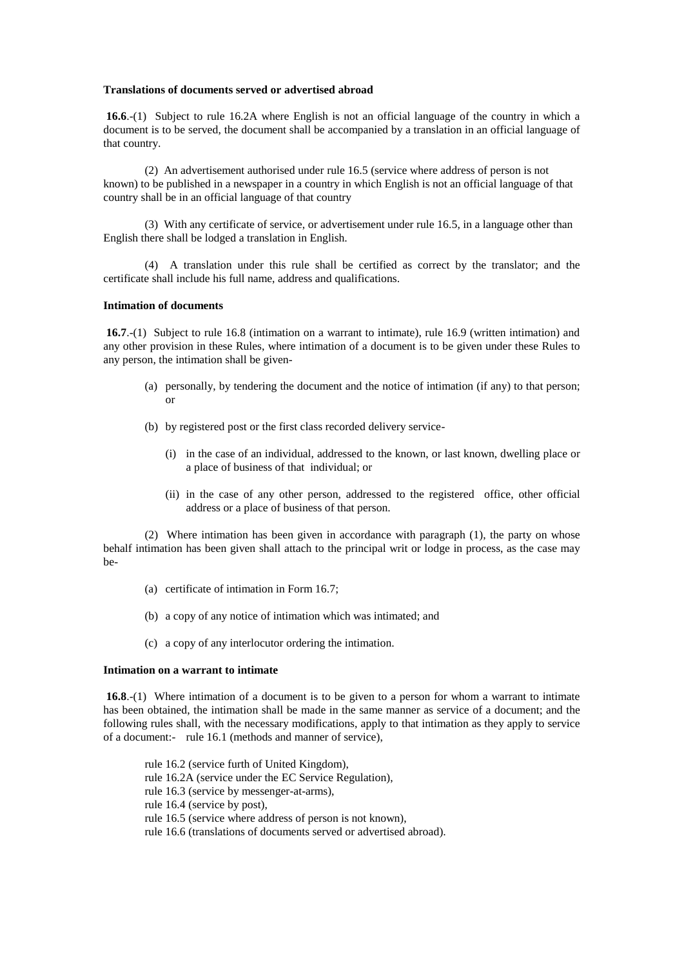#### **Translations of documents served or advertised abroad**

**16.6**.-(1) Subject to rule 16.2A where English is not an official language of the country in which a document is to be served, the document shall be accompanied by a translation in an official language of that country.

(2) An advertisement authorised under rule 16.5 (service where address of person is not known) to be published in a newspaper in a country in which English is not an official language of that country shall be in an official language of that country

(3) With any certificate of service, or advertisement under rule 16.5, in a language other than English there shall be lodged a translation in English.

(4) A translation under this rule shall be certified as correct by the translator; and the certificate shall include his full name, address and qualifications.

#### **Intimation of documents**

**16.7**.-(1) Subject to rule 16.8 (intimation on a warrant to intimate), rule 16.9 (written intimation) and any other provision in these Rules, where intimation of a document is to be given under these Rules to any person, the intimation shall be given-

- (a) personally, by tendering the document and the notice of intimation (if any) to that person; or
- (b) by registered post or the first class recorded delivery service-
	- (i) in the case of an individual, addressed to the known, or last known, dwelling place or a place of business of that individual; or
	- (ii) in the case of any other person, addressed to the registered office, other official address or a place of business of that person.

(2) Where intimation has been given in accordance with paragraph (1), the party on whose behalf intimation has been given shall attach to the principal writ or lodge in process, as the case may be-

- (a) certificate of intimation in Form 16.7;
- (b) a copy of any notice of intimation which was intimated; and
- (c) a copy of any interlocutor ordering the intimation.

## **Intimation on a warrant to intimate**

**16.8**.-(1) Where intimation of a document is to be given to a person for whom a warrant to intimate has been obtained, the intimation shall be made in the same manner as service of a document; and the following rules shall, with the necessary modifications, apply to that intimation as they apply to service of a document:- rule 16.1 (methods and manner of service),

rule 16.2 (service furth of United Kingdom), rule 16.2A (service under the EC Service Regulation), rule 16.3 (service by messenger-at-arms), rule 16.4 (service by post), rule 16.5 (service where address of person is not known), rule 16.6 (translations of documents served or advertised abroad).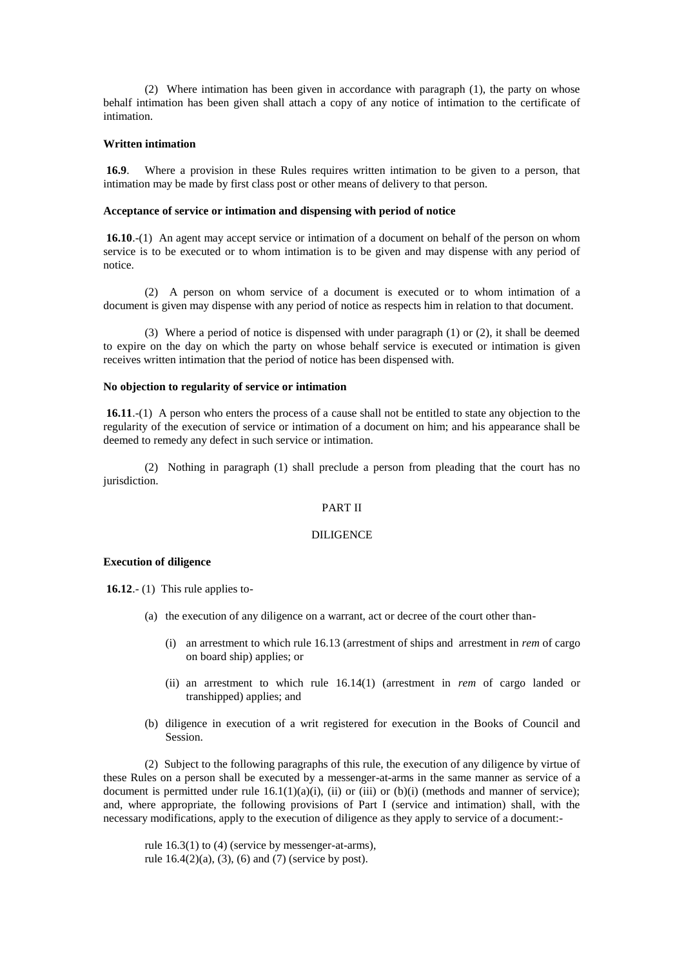(2) Where intimation has been given in accordance with paragraph (1), the party on whose behalf intimation has been given shall attach a copy of any notice of intimation to the certificate of intimation.

#### **Written intimation**

**16.9**. Where a provision in these Rules requires written intimation to be given to a person, that intimation may be made by first class post or other means of delivery to that person.

#### **Acceptance of service or intimation and dispensing with period of notice**

**16.10**.-(1) An agent may accept service or intimation of a document on behalf of the person on whom service is to be executed or to whom intimation is to be given and may dispense with any period of notice.

(2) A person on whom service of a document is executed or to whom intimation of a document is given may dispense with any period of notice as respects him in relation to that document.

(3) Where a period of notice is dispensed with under paragraph (1) or (2), it shall be deemed to expire on the day on which the party on whose behalf service is executed or intimation is given receives written intimation that the period of notice has been dispensed with.

## **No objection to regularity of service or intimation**

**16.11**.-(1) A person who enters the process of a cause shall not be entitled to state any objection to the regularity of the execution of service or intimation of a document on him; and his appearance shall be deemed to remedy any defect in such service or intimation.

(2) Nothing in paragraph (1) shall preclude a person from pleading that the court has no jurisdiction.

## PART II

#### DILIGENCE

# **Execution of diligence**

**16.12**.- (1) This rule applies to-

- (a) the execution of any diligence on a warrant, act or decree of the court other than-
	- (i) an arrestment to which rule 16.13 (arrestment of ships and arrestment in *rem* of cargo on board ship) applies; or
	- (ii) an arrestment to which rule 16.14(1) (arrestment in *rem* of cargo landed or transhipped) applies; and
- (b) diligence in execution of a writ registered for execution in the Books of Council and Session.

(2) Subject to the following paragraphs of this rule, the execution of any diligence by virtue of these Rules on a person shall be executed by a messenger-at-arms in the same manner as service of a document is permitted under rule  $16.1(1)(a)(i)$ , (ii) or (iii) or (b)(i) (methods and manner of service); and, where appropriate, the following provisions of Part I (service and intimation) shall, with the necessary modifications, apply to the execution of diligence as they apply to service of a document:-

rule 16.3(1) to (4) (service by messenger-at-arms), rule  $16.4(2)(a)$ ,  $(3)$ ,  $(6)$  and  $(7)$  (service by post).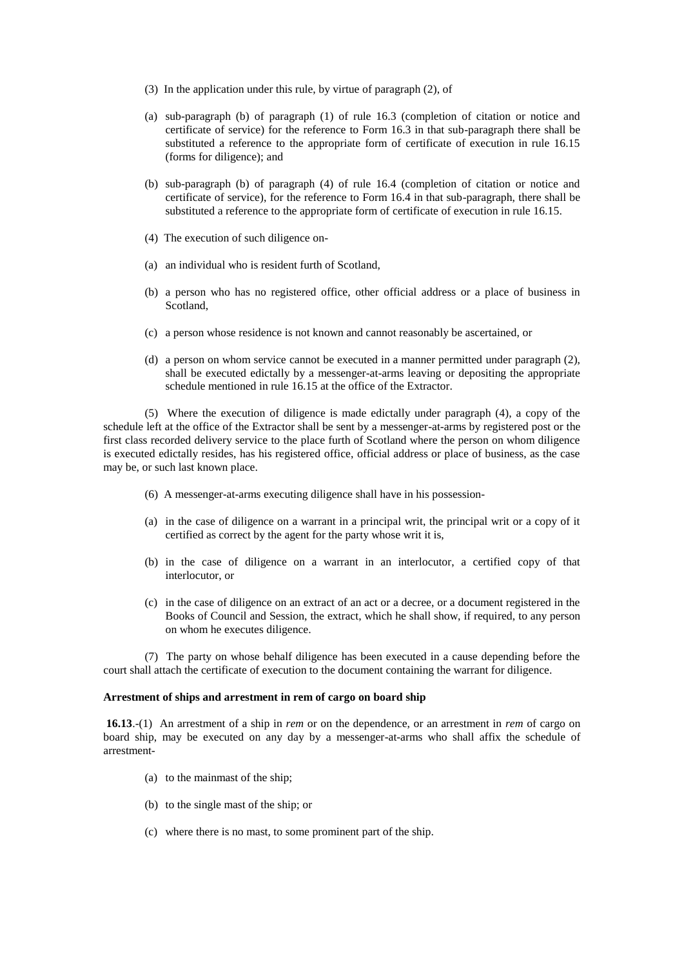- (3) In the application under this rule, by virtue of paragraph (2), of
- (a) sub-paragraph (b) of paragraph (1) of rule 16.3 (completion of citation or notice and certificate of service) for the reference to Form 16.3 in that sub-paragraph there shall be substituted a reference to the appropriate form of certificate of execution in rule 16.15 (forms for diligence); and
- (b) sub-paragraph (b) of paragraph (4) of rule 16.4 (completion of citation or notice and certificate of service), for the reference to Form 16.4 in that sub-paragraph, there shall be substituted a reference to the appropriate form of certificate of execution in rule 16.15.
- (4) The execution of such diligence on-
- (a) an individual who is resident furth of Scotland,
- (b) a person who has no registered office, other official address or a place of business in Scotland,
- (c) a person whose residence is not known and cannot reasonably be ascertained, or
- (d) a person on whom service cannot be executed in a manner permitted under paragraph (2), shall be executed edictally by a messenger-at-arms leaving or depositing the appropriate schedule mentioned in rule 16.15 at the office of the Extractor.

(5) Where the execution of diligence is made edictally under paragraph (4), a copy of the schedule left at the office of the Extractor shall be sent by a messenger-at-arms by registered post or the first class recorded delivery service to the place furth of Scotland where the person on whom diligence is executed edictally resides, has his registered office, official address or place of business, as the case may be, or such last known place.

- (6) A messenger-at-arms executing diligence shall have in his possession-
- (a) in the case of diligence on a warrant in a principal writ, the principal writ or a copy of it certified as correct by the agent for the party whose writ it is,
- (b) in the case of diligence on a warrant in an interlocutor, a certified copy of that interlocutor, or
- (c) in the case of diligence on an extract of an act or a decree, or a document registered in the Books of Council and Session, the extract, which he shall show, if required, to any person on whom he executes diligence.

(7) The party on whose behalf diligence has been executed in a cause depending before the court shall attach the certificate of execution to the document containing the warrant for diligence.

### **Arrestment of ships and arrestment in rem of cargo on board ship**

**16.13**.-(1) An arrestment of a ship in *rem* or on the dependence, or an arrestment in *rem* of cargo on board ship, may be executed on any day by a messenger-at-arms who shall affix the schedule of arrestment-

- (a) to the mainmast of the ship;
- (b) to the single mast of the ship; or
- (c) where there is no mast, to some prominent part of the ship.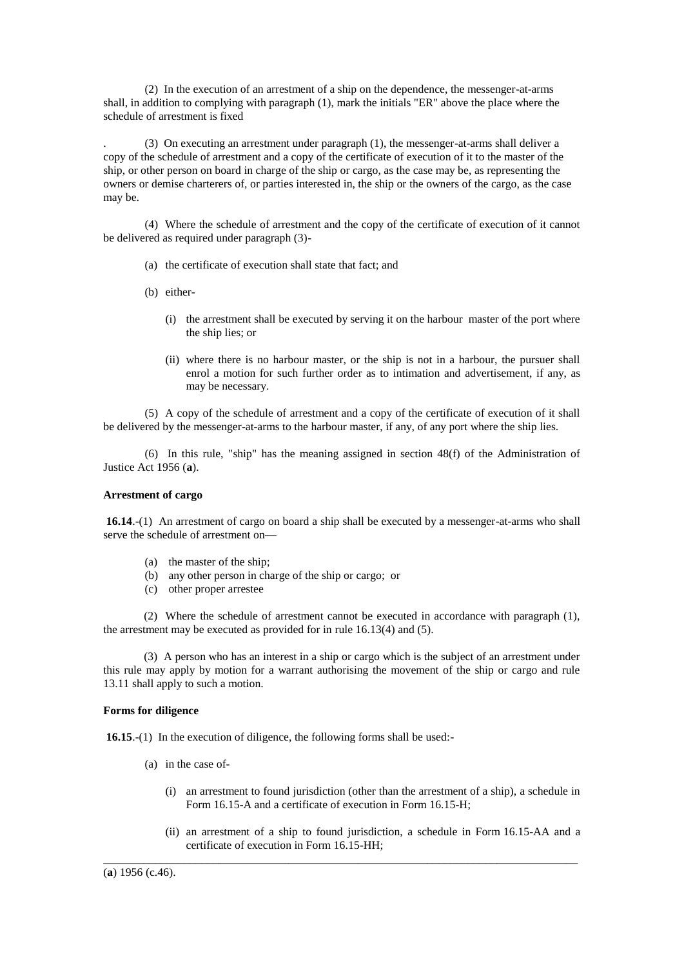(2) In the execution of an arrestment of a ship on the dependence, the messenger-at-arms shall, in addition to complying with paragraph (1), mark the initials "ER" above the place where the schedule of arrestment is fixed

. (3) On executing an arrestment under paragraph (1), the messenger-at-arms shall deliver a copy of the schedule of arrestment and a copy of the certificate of execution of it to the master of the ship, or other person on board in charge of the ship or cargo, as the case may be, as representing the owners or demise charterers of, or parties interested in, the ship or the owners of the cargo, as the case may be.

(4) Where the schedule of arrestment and the copy of the certificate of execution of it cannot be delivered as required under paragraph (3)-

- (a) the certificate of execution shall state that fact; and
- (b) either-
	- (i) the arrestment shall be executed by serving it on the harbour master of the port where the ship lies; or
	- (ii) where there is no harbour master, or the ship is not in a harbour, the pursuer shall enrol a motion for such further order as to intimation and advertisement, if any, as may be necessary.

(5) A copy of the schedule of arrestment and a copy of the certificate of execution of it shall be delivered by the messenger-at-arms to the harbour master, if any, of any port where the ship lies.

(6) In this rule, "ship" has the meaning assigned in section 48(f) of the Administration of Justice Act 1956 (**a**).

#### **Arrestment of cargo**

**16.14**.-(1) An arrestment of cargo on board a ship shall be executed by a messenger-at-arms who shall serve the schedule of arrestment on—

- (a) the master of the ship;
- (b) any other person in charge of the ship or cargo; or
- (c) other proper arrestee

(2) Where the schedule of arrestment cannot be executed in accordance with paragraph (1), the arrestment may be executed as provided for in rule 16.13(4) and (5).

(3) A person who has an interest in a ship or cargo which is the subject of an arrestment under this rule may apply by motion for a warrant authorising the movement of the ship or cargo and rule 13.11 shall apply to such a motion.

# **Forms for diligence**

**16.15.**-(1) In the execution of diligence, the following forms shall be used:-

- (a) in the case of-
	- (i) an arrestment to found jurisdiction (other than the arrestment of a ship), a schedule in Form 16.15-A and a certificate of execution in Form 16.15-H;
	- (ii) an arrestment of a ship to found jurisdiction, a schedule in Form 16.15-AA and a certificate of execution in Form 16.15-HH;

\_\_\_\_\_\_\_\_\_\_\_\_\_\_\_\_\_\_\_\_\_\_\_\_\_\_\_\_\_\_\_\_\_\_\_\_\_\_\_\_\_\_\_\_\_\_\_\_\_\_\_\_\_\_\_\_\_\_\_\_\_\_\_\_\_\_\_\_\_\_\_\_\_\_\_\_\_\_\_\_\_\_